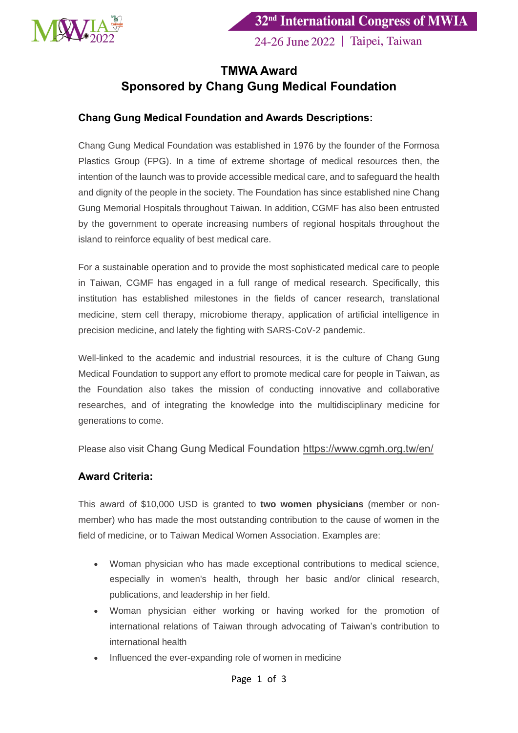

24-26 June 2022 | Taipei, Taiwan

## **TMWA Award Sponsored by Chang Gung Medical Foundation**

## **Chang Gung Medical Foundation and Awards Descriptions:**

Chang Gung Medical Foundation was established in 1976 by the founder of the Formosa Plastics Group (FPG). In a time of extreme shortage of medical resources then, the intention of the launch was to provide accessible medical care, and to safeguard the health and dignity of the people in the society. The Foundation has since established nine Chang Gung Memorial Hospitals throughout Taiwan. In addition, CGMF has also been entrusted by the government to operate increasing numbers of regional hospitals throughout the island to reinforce equality of best medical care.

For a sustainable operation and to provide the most sophisticated medical care to people in Taiwan, CGMF has engaged in a full range of medical research. Specifically, this institution has established milestones in the fields of cancer research, translational medicine, stem cell therapy, microbiome therapy, application of artificial intelligence in precision medicine, and lately the fighting with SARS-CoV-2 pandemic.

Well-linked to the academic and industrial resources, it is the culture of Chang Gung Medical Foundation to support any effort to promote medical care for people in Taiwan, as the Foundation also takes the mission of conducting innovative and collaborative researches, and of integrating the knowledge into the multidisciplinary medicine for generations to come.

Please also visit Chang Gung Medical Foundation <https://www.cgmh.org.tw/en/>

## **Award Criteria:**

This award of \$10,000 USD is granted to **two women physicians** (member or nonmember) who has made the most outstanding contribution to the cause of women in the field of medicine, or to Taiwan Medical Women Association. Examples are:

- Woman physician who has made exceptional contributions to medical science, especially in women's health, through her basic and/or clinical research, publications, and leadership in her field.
- Woman physician either working or having worked for the promotion of international relations of Taiwan through advocating of Taiwan's contribution to international health
- Influenced the ever-expanding role of women in medicine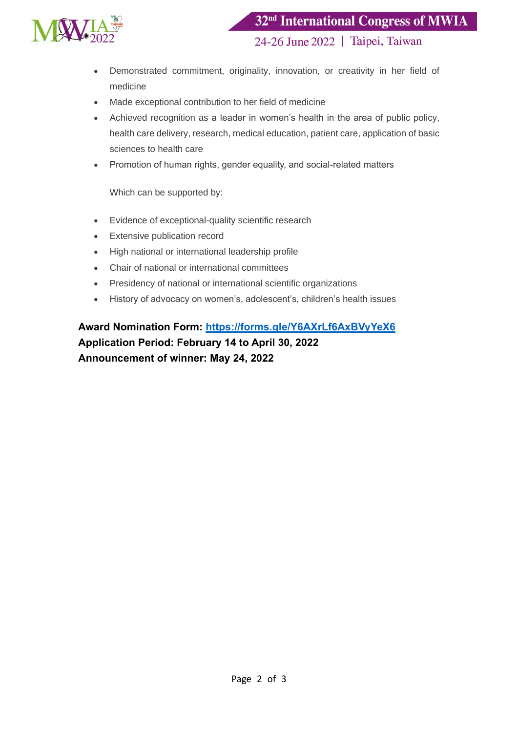

24-26 June 2022 | Taipei, Taiwan

- Demonstrated commitment, originality, innovation, or creativity in her field of medicine
- Made exceptional contribution to her field of medicine
- Achieved recognition as a leader in women's health in the area of public policy, health care delivery, research, medical education, patient care, application of basic sciences to health care
- Promotion of human rights, gender equality, and social-related matters

Which can be supported by:

- Evidence of exceptional-quality scientific research
- Extensive publication record
- High national or international leadership profile
- Chair of national or international committees
- Presidency of national or international scientific organizations
- History of advocacy on women's, adolescent's, children's health issues

**Award Nomination Form:<https://forms.gle/Y6AXrLf6AxBVyYeX6> Application Period: February 14 to April 30, 2022 Announcement of winner: May 24, 2022**